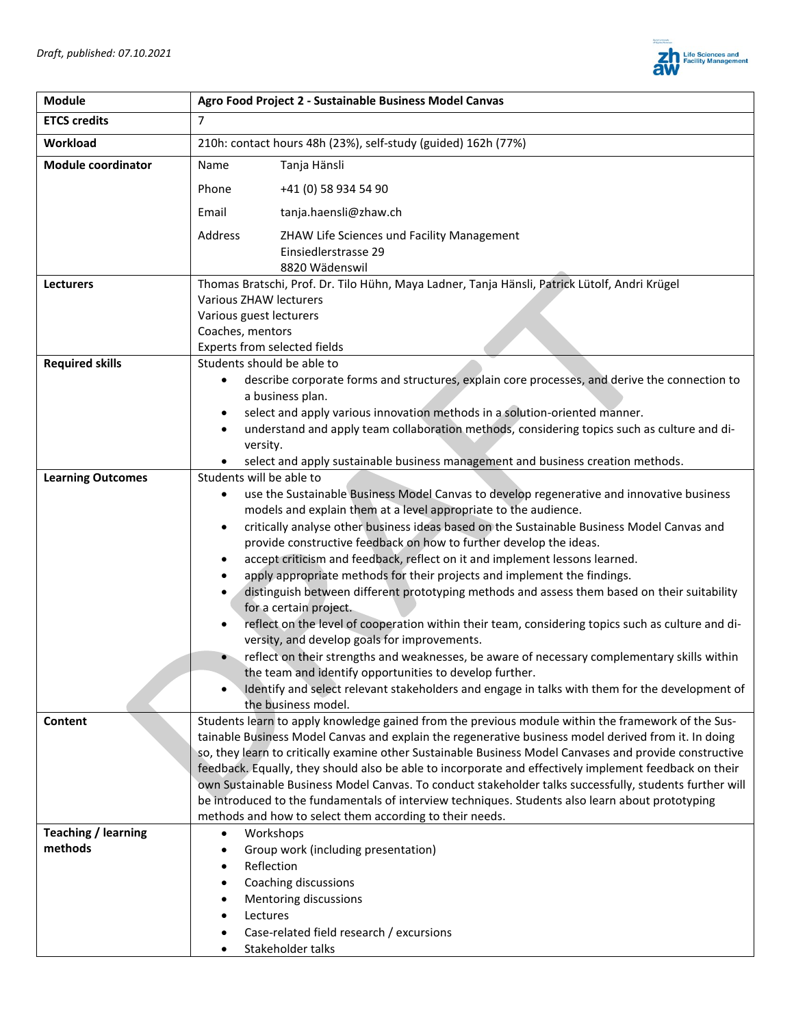

| <b>Module</b>             | Agro Food Project 2 - Sustainable Business Model Canvas                                                                                                                                                           |  |  |
|---------------------------|-------------------------------------------------------------------------------------------------------------------------------------------------------------------------------------------------------------------|--|--|
| <b>ETCS credits</b>       | $\overline{7}$                                                                                                                                                                                                    |  |  |
| Workload                  | 210h: contact hours 48h (23%), self-study (guided) 162h (77%)                                                                                                                                                     |  |  |
| <b>Module coordinator</b> | Tanja Hänsli<br>Name                                                                                                                                                                                              |  |  |
|                           | Phone<br>+41 (0) 58 934 54 90                                                                                                                                                                                     |  |  |
|                           | Email<br>tanja.haensli@zhaw.ch                                                                                                                                                                                    |  |  |
|                           | Address<br>ZHAW Life Sciences und Facility Management                                                                                                                                                             |  |  |
|                           | Einsiedlerstrasse 29                                                                                                                                                                                              |  |  |
|                           | 8820 Wädenswil                                                                                                                                                                                                    |  |  |
| <b>Lecturers</b>          | Thomas Bratschi, Prof. Dr. Tilo Hühn, Maya Ladner, Tanja Hänsli, Patrick Lütolf, Andri Krügel                                                                                                                     |  |  |
|                           | Various ZHAW lecturers<br>Various guest lecturers                                                                                                                                                                 |  |  |
|                           | Coaches, mentors                                                                                                                                                                                                  |  |  |
|                           | Experts from selected fields                                                                                                                                                                                      |  |  |
| <b>Required skills</b>    | Students should be able to                                                                                                                                                                                        |  |  |
|                           | describe corporate forms and structures, explain core processes, and derive the connection to<br>$\bullet$                                                                                                        |  |  |
|                           | a business plan.                                                                                                                                                                                                  |  |  |
|                           | select and apply various innovation methods in a solution-oriented manner.<br>$\bullet$                                                                                                                           |  |  |
|                           | understand and apply team collaboration methods, considering topics such as culture and di-<br>$\bullet$                                                                                                          |  |  |
|                           | versity.                                                                                                                                                                                                          |  |  |
|                           | select and apply sustainable business management and business creation methods.                                                                                                                                   |  |  |
| <b>Learning Outcomes</b>  | Students will be able to                                                                                                                                                                                          |  |  |
|                           | use the Sustainable Business Model Canvas to develop regenerative and innovative business                                                                                                                         |  |  |
|                           | models and explain them at a level appropriate to the audience.                                                                                                                                                   |  |  |
|                           | critically analyse other business ideas based on the Sustainable Business Model Canvas and<br>$\bullet$                                                                                                           |  |  |
|                           | provide constructive feedback on how to further develop the ideas.                                                                                                                                                |  |  |
|                           | accept criticism and feedback, reflect on it and implement lessons learned.<br>$\bullet$                                                                                                                          |  |  |
|                           | apply appropriate methods for their projects and implement the findings.<br>distinguish between different prototyping methods and assess them based on their suitability                                          |  |  |
|                           | for a certain project.                                                                                                                                                                                            |  |  |
|                           | reflect on the level of cooperation within their team, considering topics such as culture and di-                                                                                                                 |  |  |
|                           | versity, and develop goals for improvements.                                                                                                                                                                      |  |  |
|                           | reflect on their strengths and weaknesses, be aware of necessary complementary skills within                                                                                                                      |  |  |
|                           | the team and identify opportunities to develop further.                                                                                                                                                           |  |  |
|                           | Identify and select relevant stakeholders and engage in talks with them for the development of                                                                                                                    |  |  |
|                           | the business model.                                                                                                                                                                                               |  |  |
| Content                   | Students learn to apply knowledge gained from the previous module within the framework of the Sus-                                                                                                                |  |  |
|                           | tainable Business Model Canvas and explain the regenerative business model derived from it. In doing                                                                                                              |  |  |
|                           | so, they learn to critically examine other Sustainable Business Model Canvases and provide constructive<br>feedback. Equally, they should also be able to incorporate and effectively implement feedback on their |  |  |
|                           | own Sustainable Business Model Canvas. To conduct stakeholder talks successfully, students further will                                                                                                           |  |  |
|                           | be introduced to the fundamentals of interview techniques. Students also learn about prototyping                                                                                                                  |  |  |
|                           | methods and how to select them according to their needs.                                                                                                                                                          |  |  |
| Teaching / learning       | Workshops<br>$\bullet$                                                                                                                                                                                            |  |  |
| methods                   | Group work (including presentation)                                                                                                                                                                               |  |  |
|                           | Reflection                                                                                                                                                                                                        |  |  |
|                           | Coaching discussions                                                                                                                                                                                              |  |  |
|                           | Mentoring discussions                                                                                                                                                                                             |  |  |
|                           | Lectures                                                                                                                                                                                                          |  |  |
|                           | Case-related field research / excursions                                                                                                                                                                          |  |  |
|                           | Stakeholder talks                                                                                                                                                                                                 |  |  |